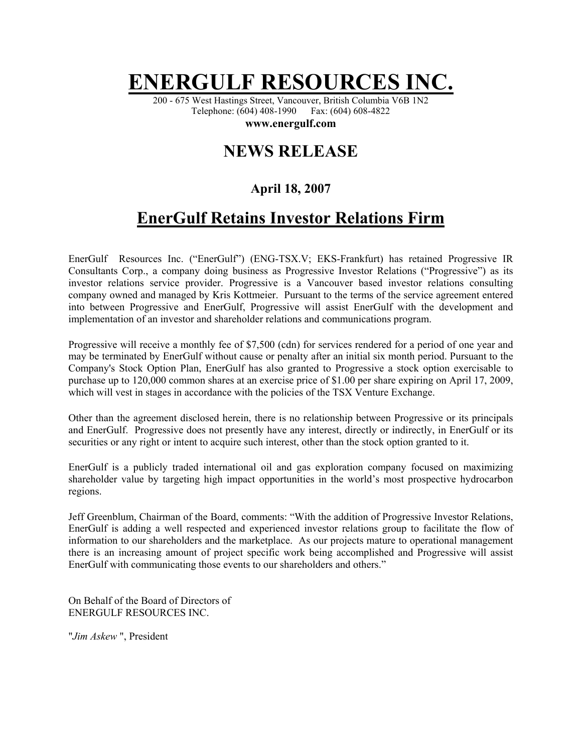## **ENERGULF RESOURCES IN**

200 - 675 West Hastings Street, Vancouver, British Columbia V6B 1N2 Telephone: (604) 408-1990 Fax: (604) 608-4822

**www.energulf.com** 

## **NEWS RELEASE**

## **April 18, 2007**

## **EnerGulf Retains Investor Relations Firm**

EnerGulf Resources Inc. ("EnerGulf") (ENG-TSX.V; EKS-Frankfurt) has retained Progressive IR Consultants Corp., a company doing business as Progressive Investor Relations ("Progressive") as its investor relations service provider. Progressive is a Vancouver based investor relations consulting company owned and managed by Kris Kottmeier. Pursuant to the terms of the service agreement entered into between Progressive and EnerGulf, Progressive will assist EnerGulf with the development and implementation of an investor and shareholder relations and communications program.

Progressive will receive a monthly fee of \$7,500 (cdn) for services rendered for a period of one year and may be terminated by EnerGulf without cause or penalty after an initial six month period. Pursuant to the Company's Stock Option Plan, EnerGulf has also granted to Progressive a stock option exercisable to purchase up to 120,000 common shares at an exercise price of \$1.00 per share expiring on April 17, 2009, which will vest in stages in accordance with the policies of the TSX Venture Exchange.

Other than the agreement disclosed herein, there is no relationship between Progressive or its principals and EnerGulf. Progressive does not presently have any interest, directly or indirectly, in EnerGulf or its securities or any right or intent to acquire such interest, other than the stock option granted to it.

EnerGulf is a publicly traded international oil and gas exploration company focused on maximizing shareholder value by targeting high impact opportunities in the world's most prospective hydrocarbon regions.

Jeff Greenblum, Chairman of the Board, comments: "With the addition of Progressive Investor Relations, EnerGulf is adding a well respected and experienced investor relations group to facilitate the flow of information to our shareholders and the marketplace. As our projects mature to operational management there is an increasing amount of project specific work being accomplished and Progressive will assist EnerGulf with communicating those events to our shareholders and others."

On Behalf of the Board of Directors of ENERGULF RESOURCES INC.

"*Jim Askew* ", President